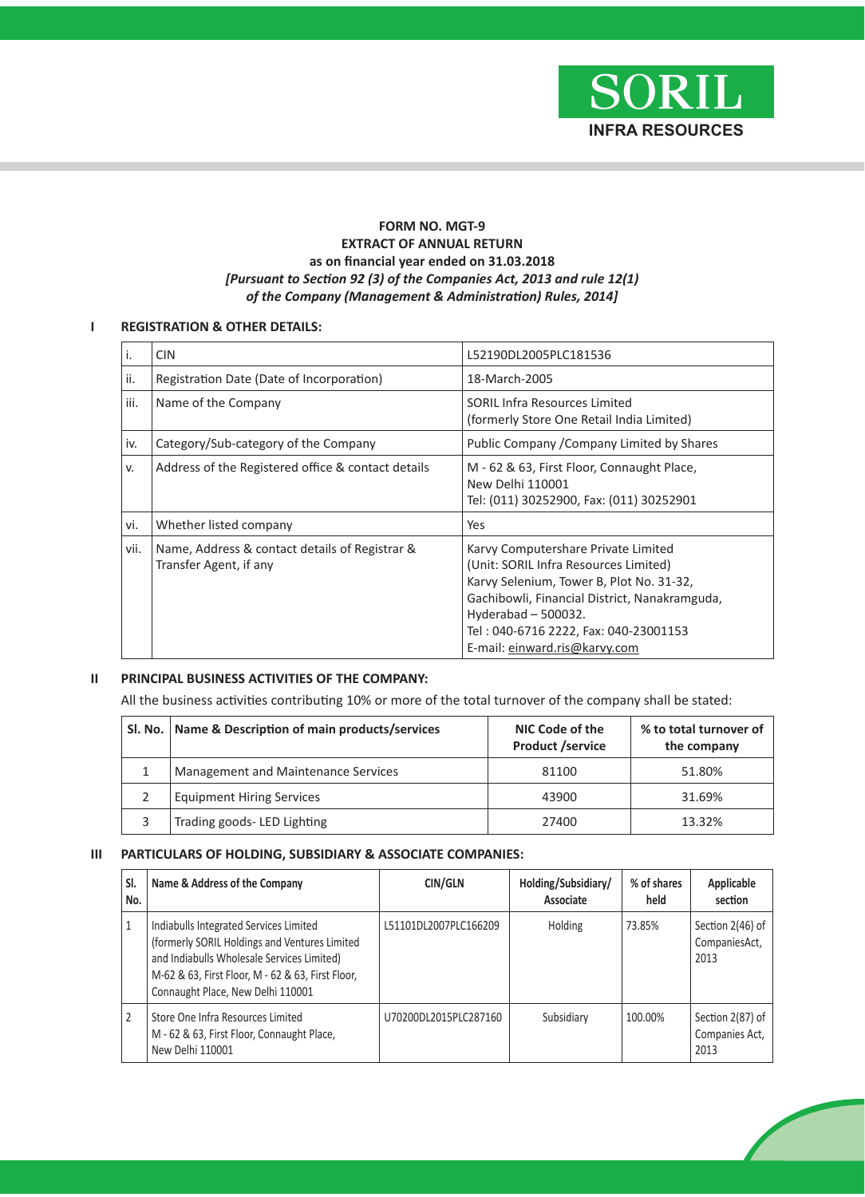

### **FORM NO. MGT-9 EXTRACT OF ANNUAL RETURN as on financial year ended on 31.03.2018** *[Pursuant to Section 92 (3) of the Companies Act, 2013 and rule 12(1) of the Company (Management & Administration) Rules, 2014]*

### **I REGISTRATION & OTHER DETAILS:**

|      | <b>CIN</b>                                                               | L52190DL2005PLC181536                                                                                                                                                                                                                                                      |
|------|--------------------------------------------------------------------------|----------------------------------------------------------------------------------------------------------------------------------------------------------------------------------------------------------------------------------------------------------------------------|
| ii.  | Registration Date (Date of Incorporation)                                | 18-March-2005                                                                                                                                                                                                                                                              |
| iii. | Name of the Company                                                      | <b>SORIL Infra Resources Limited</b><br>(formerly Store One Retail India Limited)                                                                                                                                                                                          |
| iv.  | Category/Sub-category of the Company                                     | Public Company / Company Limited by Shares                                                                                                                                                                                                                                 |
| v.   | Address of the Registered office & contact details                       | M - 62 & 63, First Floor, Connaught Place,<br>New Delhi 110001<br>Tel: (011) 30252900, Fax: (011) 30252901                                                                                                                                                                 |
| vi.  | Whether listed company                                                   | Yes                                                                                                                                                                                                                                                                        |
| vii. | Name, Address & contact details of Registrar &<br>Transfer Agent, if any | Karvy Computershare Private Limited<br>(Unit: SORIL Infra Resources Limited)<br>Karvy Selenium, Tower B, Plot No. 31-32,<br>Gachibowli, Financial District, Nanakramguda,<br>Hyderabad - 500032.<br>Tel: 040-6716 2222, Fax: 040-23001153<br>E-mail: einward.ris@karvy.com |

### **II PRINCIPAL BUSINESS ACTIVITIES OF THE COMPANY:**

All the business activities contributing 10% or more of the total turnover of the company shall be stated:

| SI. No.   Name & Description of main products/services | NIC Code of the<br><b>Product /service</b> | % to total turnover of<br>the company |  |
|--------------------------------------------------------|--------------------------------------------|---------------------------------------|--|
| Management and Maintenance Services                    | 81100                                      | 51.80%                                |  |
| <b>Equipment Hiring Services</b>                       | 43900                                      | 31.69%                                |  |
| Trading goods- LED Lighting                            | 27400                                      | 13.32%                                |  |

### **III PARTICULARS OF HOLDING, SUBSIDIARY & ASSOCIATE COMPANIES:**

| SI.<br>No. | Name & Address of the Company                                                                                                                                                                                                   | CIN/GLN               | Holding/Subsidiary/<br>Associate | % of shares<br>held | Applicable<br>section                      |
|------------|---------------------------------------------------------------------------------------------------------------------------------------------------------------------------------------------------------------------------------|-----------------------|----------------------------------|---------------------|--------------------------------------------|
| 1          | Indiabulls Integrated Services Limited<br>(formerly SORIL Holdings and Ventures Limited<br>and Indiabulls Wholesale Services Limited)<br>M-62 & 63, First Floor, M - 62 & 63, First Floor,<br>Connaught Place, New Delhi 110001 | L51101DL2007PLC166209 | Holding                          | 73.85%              | Section 2(46) of<br>CompaniesAct,<br>2013  |
| 2          | Store One Infra Resources Limited<br>M - 62 & 63, First Floor, Connaught Place,<br>New Delhi 110001                                                                                                                             | U70200DL2015PLC287160 | Subsidiary                       | 100.00%             | Section 2(87) of<br>Companies Act,<br>2013 |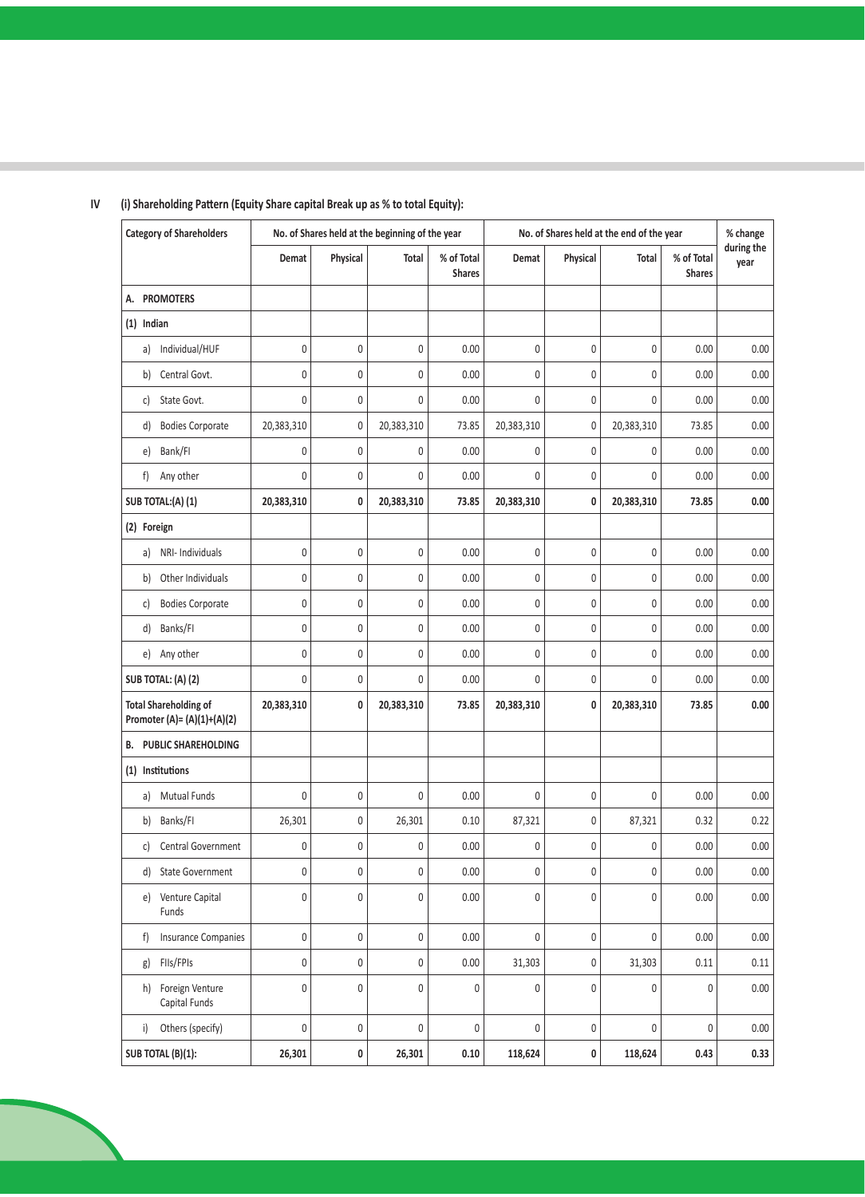| <b>Category of Shareholders</b>                               |                  |              | No. of Shares held at the beginning of the year |                             | No. of Shares held at the end of the year |              |            |                             | % change           |
|---------------------------------------------------------------|------------------|--------------|-------------------------------------------------|-----------------------------|-------------------------------------------|--------------|------------|-----------------------------|--------------------|
|                                                               | Demat            | Physical     | Total                                           | % of Total<br><b>Shares</b> | Demat                                     | Physical     | Total      | % of Total<br><b>Shares</b> | during the<br>year |
| <b>PROMOTERS</b><br>А.                                        |                  |              |                                                 |                             |                                           |              |            |                             |                    |
| $(1)$ Indian                                                  |                  |              |                                                 |                             |                                           |              |            |                             |                    |
| Individual/HUF<br>a)                                          | 0                | $\mathbf{0}$ | $\mathbf 0$                                     | 0.00                        | 0                                         | $\mathbf 0$  | 0          | 0.00                        | 0.00               |
| Central Govt.<br>b)                                           | $\pmb{0}$        | $\bf 0$      | $\boldsymbol{0}$                                | 0.00                        | $\mathbf{0}$                              | $\bf 0$      | 0          | 0.00                        | 0.00               |
| State Govt.<br>C)                                             | $\pmb{0}$        | $\bf 0$      | 0                                               | 0.00                        | 0                                         | $\bf 0$      | 0          | 0.00                        | 0.00               |
| <b>Bodies Corporate</b><br>d)                                 | 20,383,310       | $\mathbf{0}$ | 20,383,310                                      | 73.85                       | 20,383,310                                | $\bf 0$      | 20,383,310 | 73.85                       | 0.00               |
| Bank/FI<br>e)                                                 | 0                | $\bf 0$      | 0                                               | 0.00                        | 0                                         | $\mathbf{0}$ | 0          | 0.00                        | $0.00\,$           |
| f)<br>Any other                                               | $\mathbf 0$      | $\bf 0$      | $\mathbf{0}$                                    | 0.00                        | $\mathbf{0}$                              | $\bf 0$      | 0          | 0.00                        | 0.00               |
| SUB TOTAL:(A)(1)                                              | 20,383,310       | 0            | 20,383,310                                      | 73.85                       | 20,383,310                                | $\mathbf{0}$ | 20,383,310 | 73.85                       | 0.00               |
| (2) Foreign                                                   |                  |              |                                                 |                             |                                           |              |            |                             |                    |
| NRI- Individuals<br>a)                                        | $\boldsymbol{0}$ | $\mathbf 0$  | 0                                               | 0.00                        | 0                                         | $\mathbf 0$  | 0          | 0.00                        | 0.00               |
| Other Individuals<br>b)                                       | 0                | $\mathbf{0}$ | $\mathbf 0$                                     | 0.00                        | 0                                         | $\mathbf{0}$ | 0          | 0.00                        | 0.00               |
| <b>Bodies Corporate</b><br>c)                                 | $\boldsymbol{0}$ | $\bf 0$      | 0                                               | 0.00                        | 0                                         | $\bf 0$      | 0          | 0.00                        | 0.00               |
| Banks/FI<br>d)                                                | $\pmb{0}$        | $\mathbf{0}$ | 0                                               | 0.00                        | 0                                         | $\bf 0$      | 0          | 0.00                        | 0.00               |
| Any other<br>e)                                               | $\pmb{0}$        | $\bf 0$      | $\boldsymbol{0}$                                | 0.00                        | 0                                         | $\bf 0$      | 0          | 0.00                        | 0.00               |
| SUB TOTAL: (A) (2)                                            | 0                | $\mathbf{0}$ | $\overline{0}$                                  | 0.00                        | 0                                         | $\mathbf{0}$ | 0          | 0.00                        | 0.00               |
| <b>Total Shareholding of</b><br>Promoter (A)= $(A)(1)+(A)(2)$ | 20,383,310       | 0            | 20,383,310                                      | 73.85                       | 20,383,310                                | 0            | 20,383,310 | 73.85                       | 0.00               |
| PUBLIC SHAREHOLDING<br>в.                                     |                  |              |                                                 |                             |                                           |              |            |                             |                    |
| (1) Institutions                                              |                  |              |                                                 |                             |                                           |              |            |                             |                    |
| <b>Mutual Funds</b><br>a)                                     | $\pmb{0}$        | $\bf 0$      | $\mathbf{0}$                                    | 0.00                        | 0                                         | $\bf 0$      | 0          | 0.00                        | 0.00               |
| Banks/FI<br>b)                                                | 26,301           | $\mathbf 0$  | 26,301                                          | 0.10                        | 87,321                                    | $\bf 0$      | 87,321     | 0.32                        | 0.22               |
| Central Government<br>c)                                      | $\boldsymbol{0}$ | $\mathbf{0}$ | 0                                               | 0.00                        | 0                                         | $\bf 0$      | 0          | 0.00                        | 0.00               |
| <b>State Government</b><br>d)                                 | $\boldsymbol{0}$ | 0            | 0                                               | 0.00                        | 0                                         | $\bf 0$      | 0          | 0.00                        | 0.00               |
| e) Venture Capital<br>Funds                                   | 0                | 0            | 0                                               | 0.00                        | 0                                         | $\mathbf 0$  | 0          | 0.00                        | $0.00\,$           |
| <b>Insurance Companies</b><br>f                               | $\boldsymbol{0}$ | $\pmb{0}$    | $\mathbf 0$                                     | 0.00                        | $\pmb{0}$                                 | $\pmb{0}$    | 0          | 0.00                        | 0.00               |
| FIIs/FPIs<br>g)                                               | $\pmb{0}$        | $\pmb{0}$    | $\boldsymbol{0}$                                | 0.00                        | 31,303                                    | $\bf 0$      | 31,303     | 0.11                        | 0.11               |
| Foreign Venture<br>h)<br>Capital Funds                        | $\pmb{0}$        | $\bf 0$      | $\boldsymbol{0}$                                | $\pmb{0}$                   | $\mathbf{0}$                              | $\bf 0$      | 0          | $\pmb{0}$                   | 0.00               |
| Others (specify)<br>i)                                        | $\boldsymbol{0}$ | $\pmb{0}$    | $\boldsymbol{0}$                                | $\pmb{0}$                   | 0                                         | $\pmb{0}$    | 0          | 0                           | 0.00               |
| SUB TOTAL (B)(1):                                             | 26,301           | 0            | 26,301                                          | 0.10                        | 118,624                                   | 0            | 118,624    | 0.43                        | 0.33               |

# **IV (i) Shareholding Pattern (Equity Share capital Break up as % to total Equity):**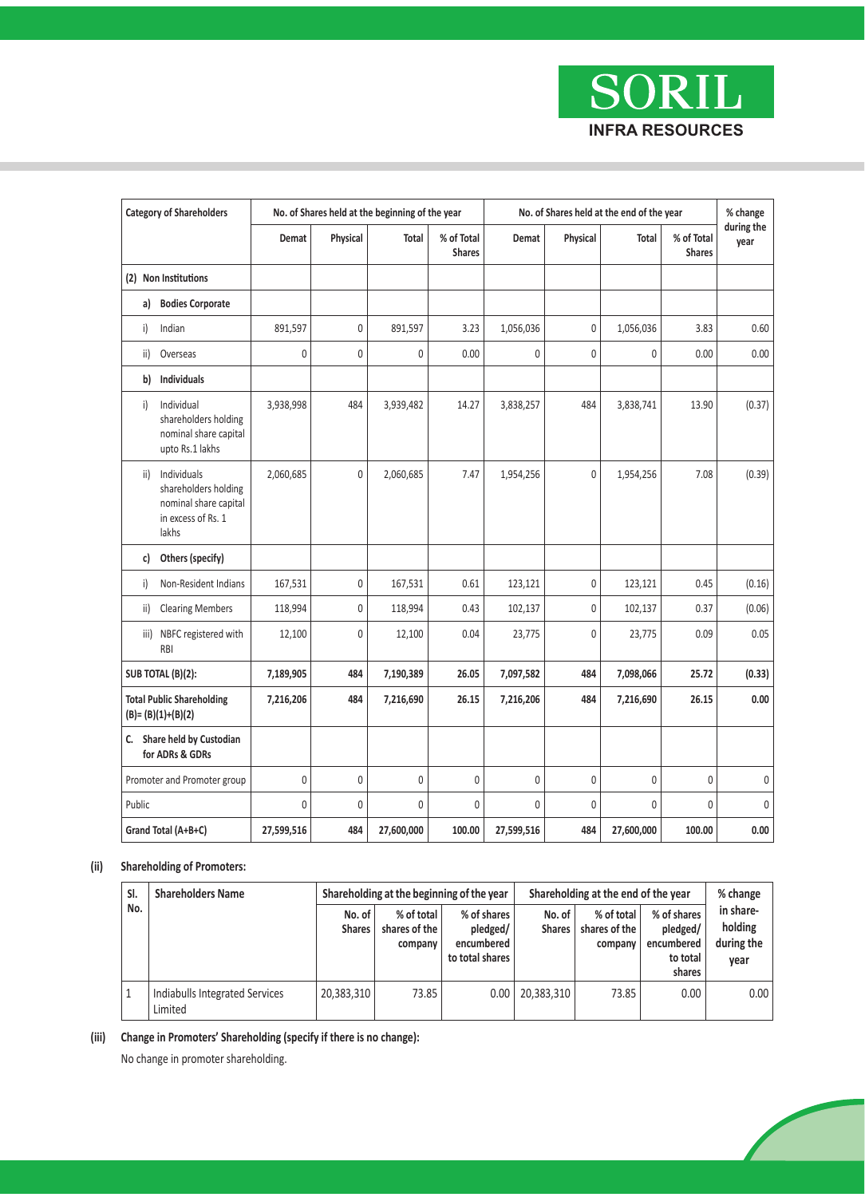

|        | <b>Category of Shareholders</b>                                                             | No. of Shares held at the beginning of the year |                |                  | No. of Shares held at the end of the year |              |              |             | % change                    |                    |
|--------|---------------------------------------------------------------------------------------------|-------------------------------------------------|----------------|------------------|-------------------------------------------|--------------|--------------|-------------|-----------------------------|--------------------|
|        |                                                                                             | Demat                                           | Physical       | Total            | % of Total<br><b>Shares</b>               | Demat        | Physical     | Total       | % of Total<br><b>Shares</b> | during the<br>year |
|        | (2) Non Institutions                                                                        |                                                 |                |                  |                                           |              |              |             |                             |                    |
| a)     | <b>Bodies Corporate</b>                                                                     |                                                 |                |                  |                                           |              |              |             |                             |                    |
| i)     | Indian                                                                                      | 891,597                                         | 0              | 891,597          | 3.23                                      | 1,056,036    | $\mathbf{0}$ | 1,056,036   | 3.83                        | 0.60               |
| ii)    | Overseas                                                                                    | 0                                               | $\overline{0}$ | 0                | 0.00                                      | $\mathbf{0}$ | $\mathbf{0}$ | 0           | 0.00                        | 0.00               |
| b)     | Individuals                                                                                 |                                                 |                |                  |                                           |              |              |             |                             |                    |
| i)     | Individual<br>shareholders holding<br>nominal share capital<br>upto Rs.1 lakhs              | 3,938,998                                       | 484            | 3,939,482        | 14.27                                     | 3,838,257    | 484          | 3,838,741   | 13.90                       | (0.37)             |
| ii)    | Individuals<br>shareholders holding<br>nominal share capital<br>in excess of Rs. 1<br>lakhs | 2,060,685                                       | $\Omega$       | 2,060,685        | 7.47                                      | 1,954,256    | $\theta$     | 1,954,256   | 7.08                        | (0.39)             |
| c)     | Others (specify)                                                                            |                                                 |                |                  |                                           |              |              |             |                             |                    |
| i)     | Non-Resident Indians                                                                        | 167,531                                         | $\mathbf{0}$   | 167,531          | 0.61                                      | 123,121      | $\mathbf{0}$ | 123,121     | 0.45                        | (0.16)             |
| ii)    | <b>Clearing Members</b>                                                                     | 118,994                                         | $\overline{0}$ | 118,994          | 0.43                                      | 102,137      | $\mathbf{0}$ | 102,137     | 0.37                        | (0.06)             |
| iii)   | NBFC registered with<br><b>RBI</b>                                                          | 12,100                                          | $\Omega$       | 12,100           | 0.04                                      | 23,775       | $\mathbf{0}$ | 23,775      | 0.09                        | 0.05               |
|        | SUB TOTAL (B)(2):                                                                           | 7,189,905                                       | 484            | 7,190,389        | 26.05                                     | 7,097,582    | 484          | 7,098,066   | 25.72                       | (0.33)             |
|        | <b>Total Public Shareholding</b><br>$(B)=(B)(1)+(B)(2)$                                     | 7,216,206                                       | 484            | 7,216,690        | 26.15                                     | 7,216,206    | 484          | 7,216,690   | 26.15                       | 0.00               |
|        | C. Share held by Custodian<br>for ADRs & GDRs                                               |                                                 |                |                  |                                           |              |              |             |                             |                    |
|        | Promoter and Promoter group                                                                 | $\mathbf 0$                                     | 0              | $\boldsymbol{0}$ | 0                                         | $\mathbf{0}$ | $\bf 0$      | $\mathbf 0$ | $\mathbf 0$                 | 0                  |
| Public |                                                                                             | $\mathbf 0$                                     | $\overline{0}$ | $\mathbf 0$      | 0                                         | 0            | $\mathbf{0}$ | 0           | $\mathbf 0$                 | $\theta$           |
|        | Grand Total (A+B+C)                                                                         | 27,599,516                                      | 484            | 27,600,000       | 100.00                                    | 27,599,516   | 484          | 27,600,000  | 100.00                      | 0.00               |

### **(ii) Shareholding of Promoters:**

|  | SI.<br>No. | <b>Shareholders Name</b>                  | Shareholding at the beginning of the year |                                        |                                                          | Shareholding at the end of the year | % change                               |                                                             |                                            |
|--|------------|-------------------------------------------|-------------------------------------------|----------------------------------------|----------------------------------------------------------|-------------------------------------|----------------------------------------|-------------------------------------------------------------|--------------------------------------------|
|  |            |                                           | No. of<br><b>Shares</b>                   | % of total<br>shares of the<br>company | % of shares<br>pledged/<br>encumbered<br>to total shares | No. of<br><b>Shares</b>             | % of total<br>shares of the<br>company | % of shares<br>pledged/<br>encumbered<br>to total<br>shares | in share-<br>holding<br>during the<br>year |
|  |            | Indiabulls Integrated Services<br>Limited | 20,383,310                                | 73.85                                  | 0.00                                                     | 20,383,310                          | 73.85                                  | 0.00                                                        | 0.00                                       |

**(iii) Change in Promoters' Shareholding (specify if there is no change):**

No change in promoter shareholding.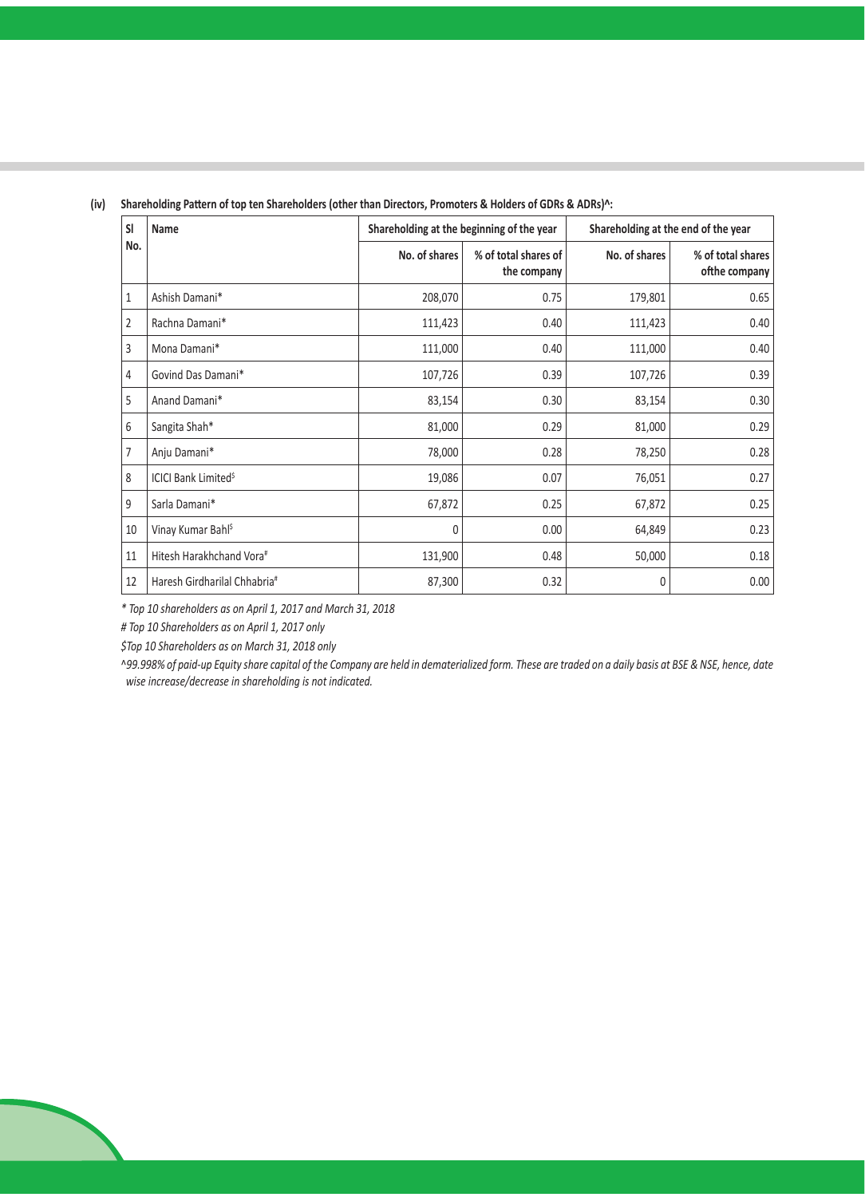| <b>SI</b> | Name                                   | Shareholding at the beginning of the year |                                     | Shareholding at the end of the year |                                    |  |
|-----------|----------------------------------------|-------------------------------------------|-------------------------------------|-------------------------------------|------------------------------------|--|
| No.       |                                        | No. of shares                             | % of total shares of<br>the company | No. of shares                       | % of total shares<br>ofthe company |  |
| 1         | Ashish Damani*                         | 208,070                                   | 0.75                                | 179,801                             | 0.65                               |  |
| 2         | Rachna Damani*                         | 111,423                                   | 0.40                                | 111,423                             | 0.40                               |  |
| 3         | Mona Damani*                           | 111,000                                   | 0.40                                | 111,000                             | 0.40                               |  |
| 4         | Govind Das Damani*                     | 107,726                                   | 0.39                                | 107,726                             | 0.39                               |  |
| 5         | Anand Damani*                          | 83,154                                    | 0.30                                | 83,154                              | 0.30                               |  |
| 6         | Sangita Shah*                          | 81,000                                    | 0.29                                | 81,000                              | 0.29                               |  |
| 7         | Anju Damani*                           | 78,000                                    | 0.28                                | 78,250                              | 0.28                               |  |
| 8         | <b>ICICI Bank Limited<sup>\$</sup></b> | 19,086                                    | 0.07                                | 76,051                              | 0.27                               |  |
| 9         | Sarla Damani*                          | 67,872                                    | 0.25                                | 67,872                              | 0.25                               |  |
| 10        | Vinay Kumar Bahl <sup>\$</sup>         | 0                                         | 0.00                                | 64,849                              | 0.23                               |  |
| 11        | Hitesh Harakhchand Vora#               | 131,900                                   | 0.48                                | 50,000                              | 0.18                               |  |
| 12        | Haresh Girdharilal Chhabria#           | 87,300                                    | 0.32                                | 0                                   | 0.00                               |  |

### **(iv) Shareholding Pattern of top ten Shareholders (other than Directors, Promoters & Holders of GDRs & ADRs)^:**

*\* Top 10 shareholders as on April 1, 2017 and March 31, 2018*

*# Top 10 Shareholders as on April 1, 2017 only*

*\$Top 10 Shareholders as on March 31, 2018 only*

^*99.998% of paid-up Equity share capital of the Company are held in dematerialized form. These are traded on a daily basis at BSE & NSE, hence, date wise increase/decrease in shareholding is not indicated.*

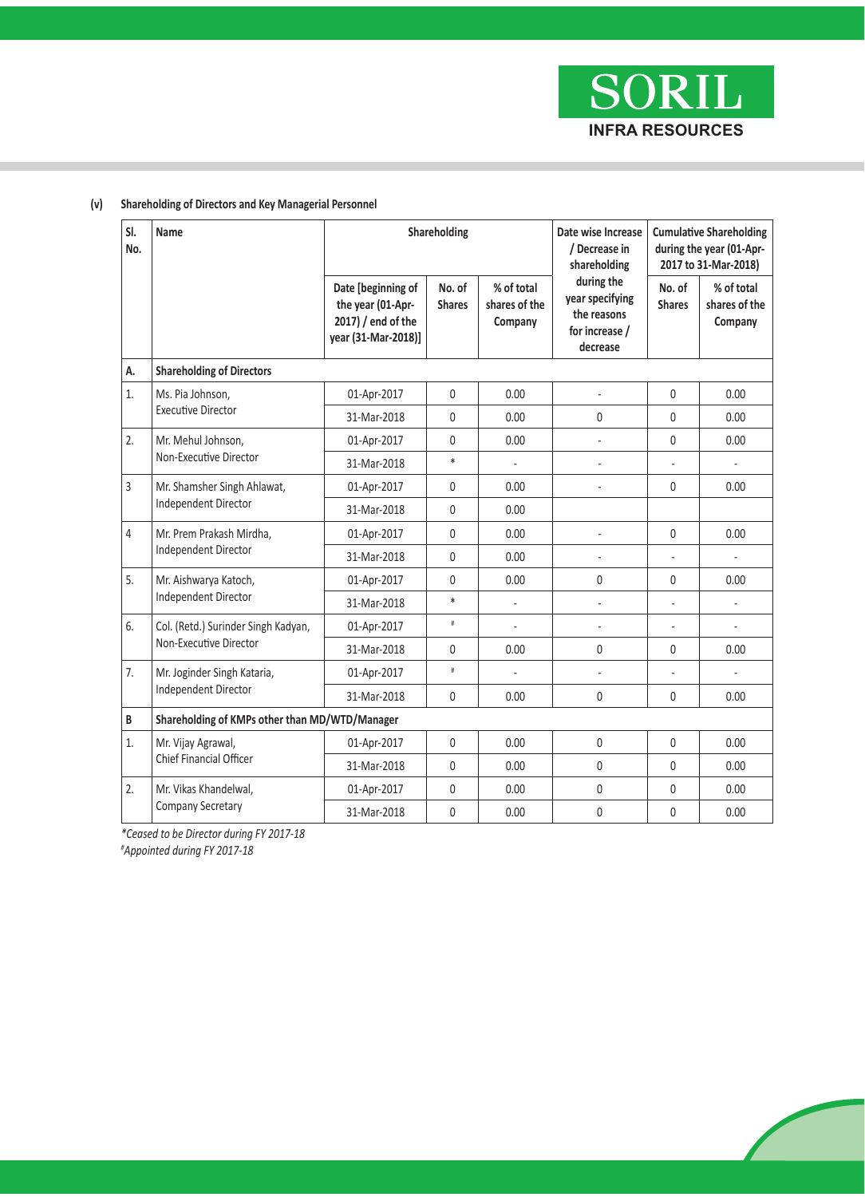**SORIL INFRA RESOURCES**

| SI.<br>No. | Name                                                |                                                                                      | Shareholding            |                                        | Date wise Increase<br>/ Decrease in<br>shareholding                        | <b>Cumulative Shareholding</b><br>during the year (01-Apr-<br>2017 to 31-Mar-2018) |                                        |
|------------|-----------------------------------------------------|--------------------------------------------------------------------------------------|-------------------------|----------------------------------------|----------------------------------------------------------------------------|------------------------------------------------------------------------------------|----------------------------------------|
|            |                                                     | Date [beginning of<br>the year (01-Apr-<br>2017) / end of the<br>year (31-Mar-2018)] | No. of<br><b>Shares</b> | % of total<br>shares of the<br>Company | during the<br>year specifying<br>the reasons<br>for increase /<br>decrease | No. of<br><b>Shares</b>                                                            | % of total<br>shares of the<br>Company |
| А.         | <b>Shareholding of Directors</b>                    |                                                                                      |                         |                                        |                                                                            |                                                                                    |                                        |
| 1.         | Ms. Pia Johnson,<br><b>Executive Director</b>       | 01-Apr-2017                                                                          | $\mathbf 0$             | 0.00                                   |                                                                            | $\mathbf{0}$                                                                       | 0.00                                   |
|            |                                                     | 31-Mar-2018                                                                          | $\mathbf 0$             | 0.00                                   | 0                                                                          | $\mathbf{0}$                                                                       | 0.00                                   |
| 2.         | Mr. Mehul Johnson,<br>Non-Executive Director        | 01-Apr-2017                                                                          | $\mathbf 0$             | 0.00                                   |                                                                            | $\mathbf{0}$                                                                       | 0.00                                   |
|            |                                                     | 31-Mar-2018                                                                          | $\ast$                  | ä,                                     | ÷,                                                                         |                                                                                    | ä,                                     |
| 3          | Mr. Shamsher Singh Ahlawat,<br>Independent Director | 01-Apr-2017                                                                          | $\mathbf 0$             | 0.00                                   |                                                                            | $\mathbf{0}$                                                                       | 0.00                                   |
|            |                                                     | 31-Mar-2018                                                                          | $\mathbf 0$             | 0.00                                   |                                                                            |                                                                                    |                                        |
| 4          | Mr. Prem Prakash Mirdha,<br>Independent Director    | 01-Apr-2017                                                                          | $\mathbf{0}$            | 0.00                                   |                                                                            | $\mathbf{0}$                                                                       | 0.00                                   |
|            |                                                     | 31-Mar-2018                                                                          | $\Omega$                | 0.00                                   |                                                                            |                                                                                    |                                        |
| 5.         | Mr. Aishwarya Katoch,                               | 01-Apr-2017                                                                          | $\Omega$                | 0.00                                   | $\mathbf{0}$                                                               | $\mathbf{0}$                                                                       | 0.00                                   |
|            | Independent Director                                | 31-Mar-2018                                                                          | $\ast$                  |                                        | ä,                                                                         | ÷.                                                                                 | ÷,                                     |
| 6.         | Col. (Retd.) Surinder Singh Kadyan,                 | 01-Apr-2017                                                                          | $\#$                    | L.                                     | ä,                                                                         | ä,                                                                                 | ÷,                                     |
|            | Non-Executive Director                              | 31-Mar-2018                                                                          | $\mathbf 0$             | 0.00                                   | 0                                                                          | 0                                                                                  | 0.00                                   |
| 7.         | Mr. Joginder Singh Kataria,                         | 01-Apr-2017                                                                          | $\#$                    | ä,                                     | ÷,                                                                         | ä,                                                                                 | ä,                                     |
|            | <b>Independent Director</b>                         | 31-Mar-2018                                                                          | $\mathbf 0$             | 0.00                                   | 0                                                                          | 0                                                                                  | 0.00                                   |
| B          | Shareholding of KMPs other than MD/WTD/Manager      |                                                                                      |                         |                                        |                                                                            |                                                                                    |                                        |
| 1.         | Mr. Vijay Agrawal,                                  | 01-Apr-2017                                                                          | $\mathbf 0$             | 0.00                                   | $\mathbf{0}$                                                               | $\mathbf{0}$                                                                       | 0.00                                   |
|            | Chief Financial Officer                             | 31-Mar-2018                                                                          | $\mathbf{0}$            | 0.00                                   | $\mathbf{0}$                                                               | $\mathbf{0}$                                                                       | 0.00                                   |
| 2.         | Mr. Vikas Khandelwal,                               | 01-Apr-2017                                                                          | $\mathbf 0$             | 0.00                                   | $\mathbf{0}$                                                               | $\mathbf{0}$                                                                       | 0.00                                   |
|            | Company Secretary                                   | 31-Mar-2018                                                                          | $\pmb{0}$               | 0.00                                   | 0                                                                          | 0                                                                                  | 0.00                                   |

# **(v) Shareholding of Directors and Key Managerial Personnel**

*\*Ceased to be Director during FY 2017-18*

*# Appointed during FY 2017-18*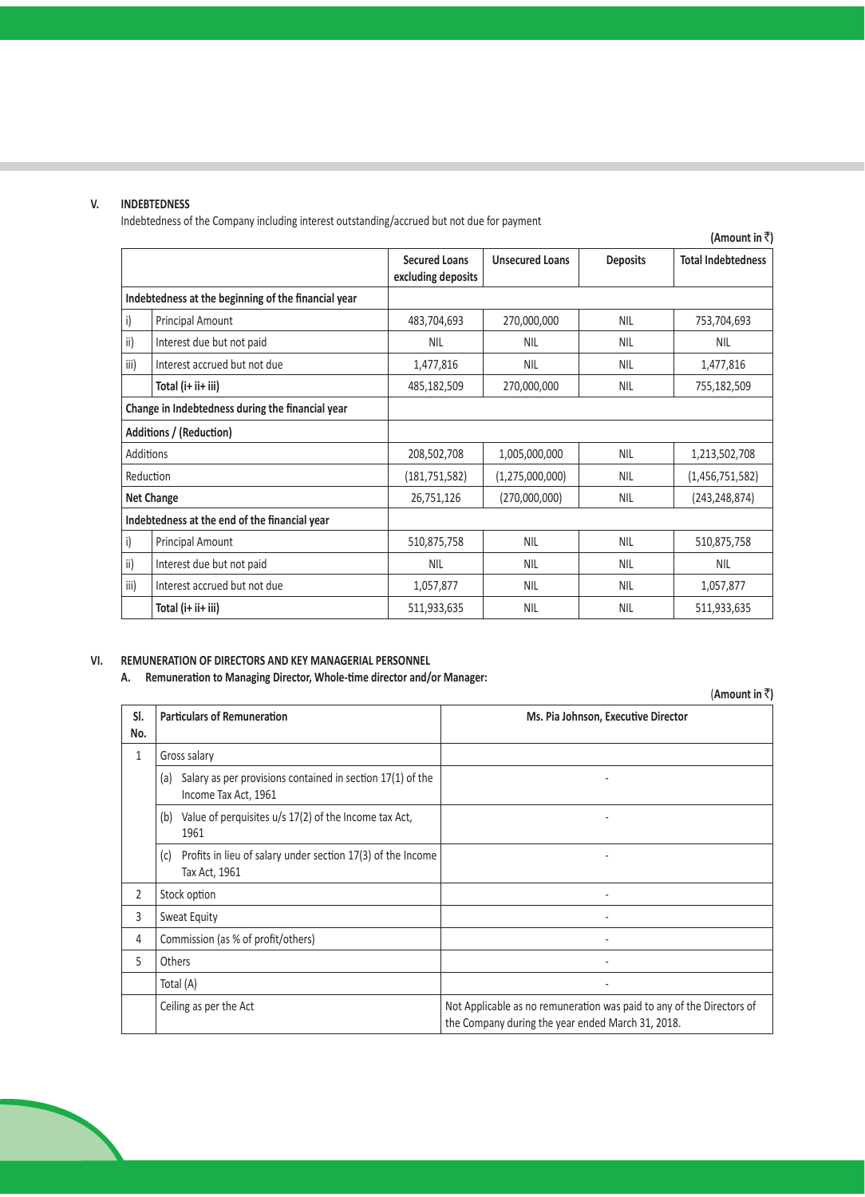### **V. INDEBTEDNESS**

Indebtedness of the Company including interest outstanding/accrued but not due for payment

|                                                  |                                                     |                                            |                        |                 | (Amount in ₹)             |
|--------------------------------------------------|-----------------------------------------------------|--------------------------------------------|------------------------|-----------------|---------------------------|
|                                                  |                                                     | <b>Secured Loans</b><br>excluding deposits | <b>Unsecured Loans</b> | <b>Deposits</b> | <b>Total Indebtedness</b> |
|                                                  | Indebtedness at the beginning of the financial year |                                            |                        |                 |                           |
| i)                                               | Principal Amount                                    | 483,704,693                                | 270,000,000            | <b>NIL</b>      | 753,704,693               |
| ii)                                              | Interest due but not paid                           | <b>NIL</b>                                 | <b>NIL</b>             | <b>NIL</b>      | <b>NIL</b>                |
| iii)                                             | Interest accrued but not due                        | 1,477,816                                  | <b>NIL</b>             | <b>NIL</b>      | 1,477,816                 |
|                                                  | Total (i+ ii+ iii)                                  | 485,182,509                                | 270,000,000            | <b>NIL</b>      | 755,182,509               |
| Change in Indebtedness during the financial year |                                                     |                                            |                        |                 |                           |
|                                                  | Additions / (Reduction)                             |                                            |                        |                 |                           |
| Additions                                        |                                                     | 208,502,708                                | 1,005,000,000          | <b>NIL</b>      | 1,213,502,708             |
| Reduction                                        |                                                     | (181, 751, 582)                            | (1, 275, 000, 000)     | <b>NIL</b>      | (1,456,751,582)           |
|                                                  | <b>Net Change</b>                                   | 26,751,126                                 | (270,000,000)          | <b>NIL</b>      | (243, 248, 874)           |
|                                                  | Indebtedness at the end of the financial year       |                                            |                        |                 |                           |
| i)                                               | Principal Amount                                    | 510,875,758                                | <b>NIL</b>             | <b>NIL</b>      | 510,875,758               |
| ii)                                              | Interest due but not paid                           | <b>NIL</b>                                 | <b>NIL</b>             | <b>NIL</b>      | <b>NIL</b>                |
| iii)                                             | Interest accrued but not due                        | 1,057,877                                  | <b>NIL</b>             | <b>NIL</b>      | 1,057,877                 |
|                                                  | Total (i+ ii+ iii)                                  | 511,933,635                                | <b>NIL</b>             | <b>NIL</b>      | 511,933,635               |

### **VI. REMUNERATION OF DIRECTORS AND KEY MANAGERIAL PERSONNEL**

**A. Remuneration to Managing Director, Whole-time director and/or Manager:**

(**Amount in** `**) Sl. No. Particulars of Remuneration Ms. Pia Johnson, Executive Director** 1 Gross salary (a) Salary as per provisions contained in section 17(1) of the Income Tax Act, 1961 - (b) Value of perquisites u/s 17(2) of the Income tax Act, 1961 - (c) Profits in lieu of salary under section 17(3) of the Income Tax Act, 1961 - 2 Stock option 3 Sweat Equity **Sweat Equity**  $\sim$ 4 Commission (as % of profit/others) - 5 Others - Total (A) - Ceiling as per the Act Not Applicable as no remuneration was paid to any of the Directors of the Company during the year ended March 31, 2018.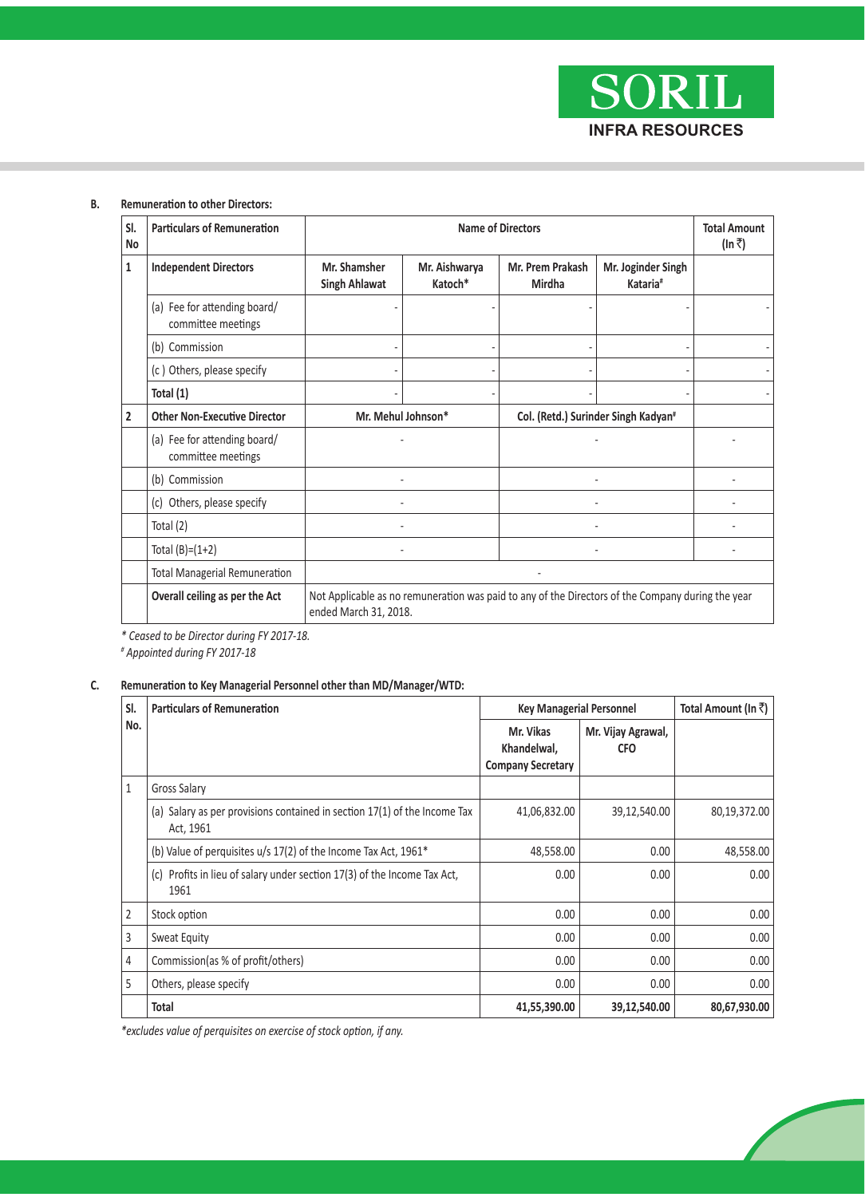

#### **B. Remuneration to other Directors:**

| SI.<br>No      | <b>Particulars of Remuneration</b>                 |                                                                                                                            | <b>Name of Directors</b> |                                                 |                                            |  |  |  |
|----------------|----------------------------------------------------|----------------------------------------------------------------------------------------------------------------------------|--------------------------|-------------------------------------------------|--------------------------------------------|--|--|--|
| $\mathbf{1}$   | <b>Independent Directors</b>                       | Mr. Shamsher<br><b>Singh Ahlawat</b>                                                                                       | Mr. Aishwarya<br>Katoch* | Mr. Prem Prakash<br>Mirdha                      | Mr. Joginder Singh<br>Kataria <sup>#</sup> |  |  |  |
|                | (a) Fee for attending board/<br>committee meetings |                                                                                                                            |                          |                                                 |                                            |  |  |  |
|                | (b) Commission                                     |                                                                                                                            |                          |                                                 |                                            |  |  |  |
|                | (c) Others, please specify                         |                                                                                                                            |                          |                                                 |                                            |  |  |  |
|                | Total (1)                                          |                                                                                                                            |                          |                                                 |                                            |  |  |  |
| $\overline{2}$ | <b>Other Non-Executive Director</b>                | Mr. Mehul Johnson*                                                                                                         |                          | Col. (Retd.) Surinder Singh Kadyan <sup>#</sup> |                                            |  |  |  |
|                | (a) Fee for attending board/<br>committee meetings |                                                                                                                            |                          |                                                 |                                            |  |  |  |
|                | (b) Commission                                     |                                                                                                                            |                          |                                                 |                                            |  |  |  |
|                | (c) Others, please specify                         |                                                                                                                            |                          |                                                 |                                            |  |  |  |
|                | Total $(2)$                                        |                                                                                                                            |                          |                                                 |                                            |  |  |  |
|                | Total $(B)=(1+2)$                                  |                                                                                                                            |                          |                                                 |                                            |  |  |  |
|                | <b>Total Managerial Remuneration</b>               |                                                                                                                            |                          |                                                 |                                            |  |  |  |
|                | Overall ceiling as per the Act                     | Not Applicable as no remuneration was paid to any of the Directors of the Company during the year<br>ended March 31, 2018. |                          |                                                 |                                            |  |  |  |

*\* Ceased to be Director during FY 2017-18.*

*# Appointed during FY 2017-18*

# **C. Remuneration to Key Managerial Personnel other than MD/Manager/WTD:**

| SI.            | <b>Particulars of Remuneration</b>                                                     | <b>Key Managerial Personnel</b>                      |                                  | Total Amount (In ₹) |
|----------------|----------------------------------------------------------------------------------------|------------------------------------------------------|----------------------------------|---------------------|
| No.            |                                                                                        | Mr. Vikas<br>Khandelwal,<br><b>Company Secretary</b> | Mr. Vijay Agrawal,<br><b>CFO</b> |                     |
| $\mathbf{1}$   | Gross Salary                                                                           |                                                      |                                  |                     |
|                | (a) Salary as per provisions contained in section 17(1) of the Income Tax<br>Act, 1961 | 41,06,832.00                                         | 39,12,540.00                     | 80,19,372.00        |
|                | (b) Value of perquisites u/s 17(2) of the Income Tax Act, 1961*                        | 48,558.00                                            | 0.00                             | 48,558.00           |
|                | (c) Profits in lieu of salary under section 17(3) of the Income Tax Act,<br>1961       | 0.00                                                 | 0.00                             | 0.00                |
| $\overline{2}$ | Stock option                                                                           | 0.00                                                 | 0.00                             | 0.00                |
| 3              | Sweat Equity                                                                           | 0.00                                                 | 0.00                             | 0.00                |
| 4              | Commission (as % of profit/others)                                                     | 0.00                                                 | 0.00                             | 0.00                |
| 5              | Others, please specify                                                                 | 0.00                                                 | 0.00                             | 0.00                |
|                | Total                                                                                  | 41,55,390.00                                         | 39,12,540.00                     | 80,67,930.00        |

 *\*excludes value of perquisites on exercise of stock option, if any.*